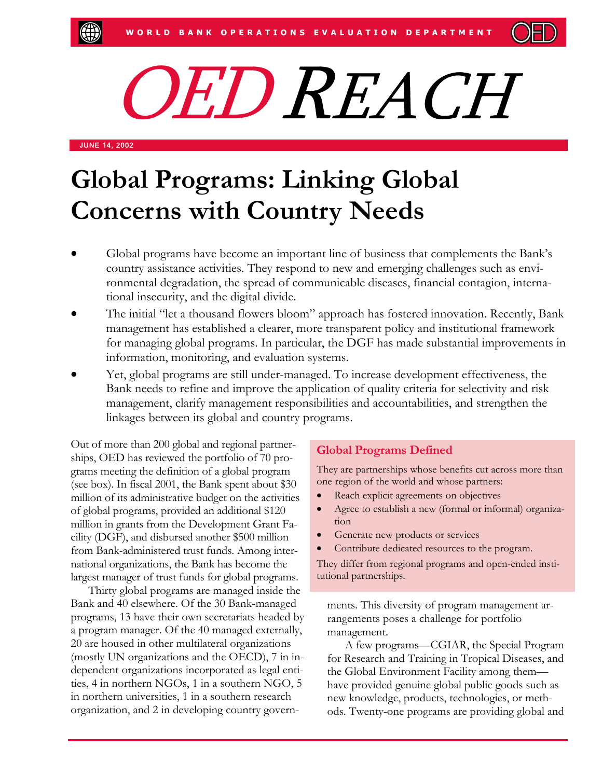

# OED REACH

JUNE 14, 2002

# **Global Programs: Linking Global Concerns with Country Needs**

- Global programs have become an important line of business that complements the Bank's country assistance activities. They respond to new and emerging challenges such as environmental degradation, the spread of communicable diseases, financial contagion, international insecurity, and the digital divide.
- The initial "let a thousand flowers bloom" approach has fostered innovation. Recently, Bank management has established a clearer, more transparent policy and institutional framework for managing global programs. In particular, the DGF has made substantial improvements in information, monitoring, and evaluation systems.
- Yet, global programs are still under-managed. To increase development effectiveness, the Bank needs to refine and improve the application of quality criteria for selectivity and risk management, clarify management responsibilities and accountabilities, and strengthen the linkages between its global and country programs.

Out of more than 200 global and regional partnerships, OED has reviewed the portfolio of 70 programs meeting the definition of a global program (see box). In fiscal 2001, the Bank spent about \$30 million of its administrative budget on the activities of global programs, provided an additional \$120 million in grants from the Development Grant Facility (DGF), and disbursed another \$500 million from Bank-administered trust funds. Among international organizations, the Bank has become the largest manager of trust funds for global programs.

Thirty global programs are managed inside the Bank and 40 elsewhere. Of the 30 Bank-managed programs, 13 have their own secretariats headed by a program manager. Of the 40 managed externally, 20 are housed in other multilateral organizations (mostly UN organizations and the OECD), 7 in independent organizations incorporated as legal entities, 4 in northern NGOs, 1 in a southern NGO, 5 in northern universities, 1 in a southern research organization, and 2 in developing country govern-

## **Global Programs Defined**

They are partnerships whose benefits cut across more than one region of the world and whose partners:

- Reach explicit agreements on objectives
- Agree to establish a new (formal or informal) organization
- Generate new products or services
- Contribute dedicated resources to the program.

They differ from regional programs and open-ended institutional partnerships.

ments. This diversity of program management arrangements poses a challenge for portfolio management.

A few programs—CGIAR, the Special Program for Research and Training in Tropical Diseases, and the Global Environment Facility among them have provided genuine global public goods such as new knowledge, products, technologies, or methods. Twenty-one programs are providing global and